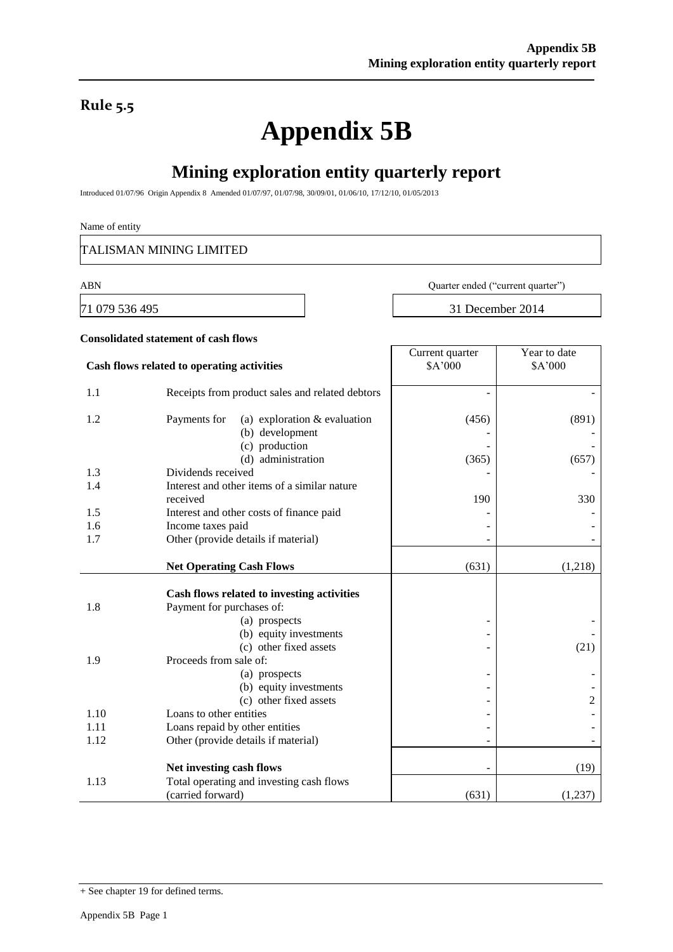### **Rule 5.5**

# **Appendix 5B**

## **Mining exploration entity quarterly report**

Introduced 01/07/96 Origin Appendix 8 Amended 01/07/97, 01/07/98, 30/09/01, 01/06/10, 17/12/10, 01/05/2013

#### Name of entity

TALISMAN MINING LIMITED

**Consolidated statement of cash flows**

71 079 536 495 31 December 2014

ABN Quarter ended ("current quarter")

| Cash flows related to operating activities |                                                                   | Current quarter<br>\$A'000 | Year to date<br>\$A'000 |
|--------------------------------------------|-------------------------------------------------------------------|----------------------------|-------------------------|
| 1.1                                        | Receipts from product sales and related debtors                   |                            |                         |
| 1.2                                        | (a) exploration $&$ evaluation<br>Payments for<br>(b) development | (456)                      | (891)                   |
|                                            | (c) production<br>(d) administration                              | (365)                      | (657)                   |
| 1.3                                        | Dividends received                                                |                            |                         |
| 1.4                                        | Interest and other items of a similar nature                      |                            |                         |
|                                            | received                                                          | 190                        | 330                     |
| 1.5                                        | Interest and other costs of finance paid                          |                            |                         |
| 1.6                                        | Income taxes paid                                                 |                            |                         |
| 1.7                                        | Other (provide details if material)                               |                            |                         |
|                                            | <b>Net Operating Cash Flows</b>                                   | (631)                      | (1,218)                 |
|                                            | Cash flows related to investing activities                        |                            |                         |
| 1.8                                        | Payment for purchases of:                                         |                            |                         |
|                                            | (a) prospects                                                     |                            |                         |
|                                            | (b) equity investments                                            |                            |                         |
|                                            | (c) other fixed assets                                            |                            | (21)                    |
| 1.9                                        | Proceeds from sale of:                                            |                            |                         |
|                                            | (a) prospects                                                     |                            |                         |
|                                            | (b) equity investments                                            |                            |                         |
|                                            | (c) other fixed assets                                            |                            | 2                       |
| 1.10                                       | Loans to other entities                                           |                            |                         |
| 1.11                                       | Loans repaid by other entities                                    |                            |                         |
| 1.12                                       | Other (provide details if material)                               |                            |                         |
|                                            | Net investing cash flows                                          | ۰                          | (19)                    |
| 1.13                                       | Total operating and investing cash flows                          |                            |                         |
|                                            | (carried forward)                                                 | (631)                      | (1,237)                 |

<sup>+</sup> See chapter 19 for defined terms.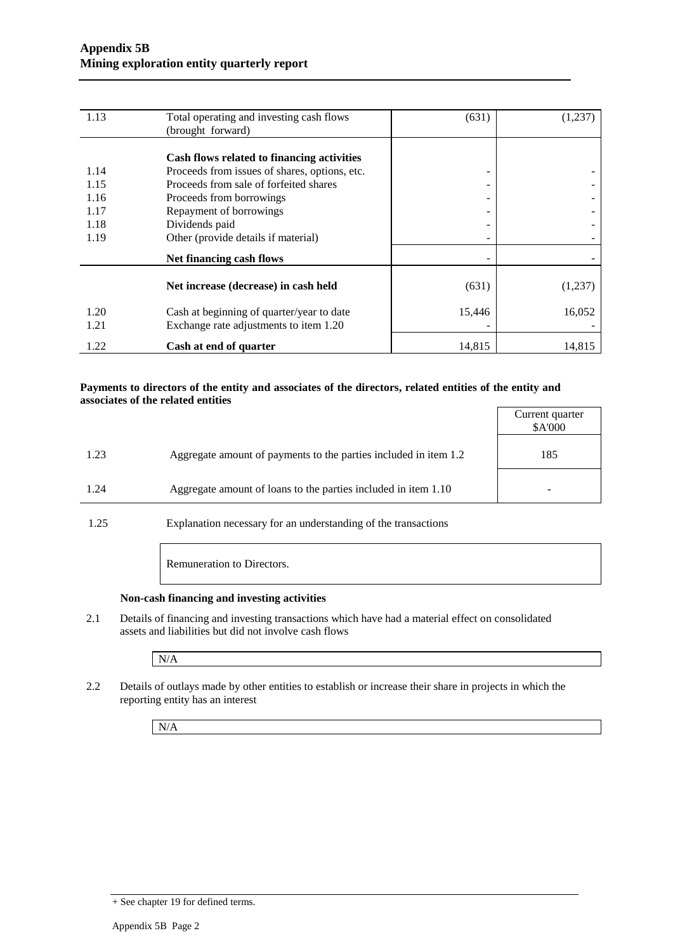| 1.13 | Total operating and investing cash flows      | (631)  | (1,237) |
|------|-----------------------------------------------|--------|---------|
|      | (brought forward)                             |        |         |
|      |                                               |        |         |
|      | Cash flows related to financing activities    |        |         |
| 1.14 | Proceeds from issues of shares, options, etc. | -      |         |
| 1.15 | Proceeds from sale of forfeited shares        |        |         |
| 1.16 | Proceeds from borrowings                      |        |         |
| 1.17 | Repayment of borrowings                       |        |         |
| 1.18 | Dividends paid                                |        |         |
| 1.19 | Other (provide details if material)           |        |         |
|      | Net financing cash flows                      |        |         |
|      |                                               |        |         |
|      | Net increase (decrease) in cash held          | (631)  | (1,237) |
| 1.20 | Cash at beginning of quarter/year to date     | 15,446 | 16,052  |
| 1.21 | Exchange rate adjustments to item 1.20        |        |         |
| 1.22 | Cash at end of quarter                        | 14,815 | 14,815  |

#### **Payments to directors of the entity and associates of the directors, related entities of the entity and associates of the related entities**

|                                                                          | Current quarter<br>\$A'000 |
|--------------------------------------------------------------------------|----------------------------|
| Aggregate amount of payments to the parties included in item 1.2<br>1.23 | 185                        |
| Aggregate amount of loans to the parties included in item 1.10<br>1.24   |                            |

1.25 Explanation necessary for an understanding of the transactions

Remuneration to Directors.

#### **Non-cash financing and investing activities**

2.1 Details of financing and investing transactions which have had a material effect on consolidated assets and liabilities but did not involve cash flows

N/A

2.2 Details of outlays made by other entities to establish or increase their share in projects in which the reporting entity has an interest

N/A

<sup>+</sup> See chapter 19 for defined terms.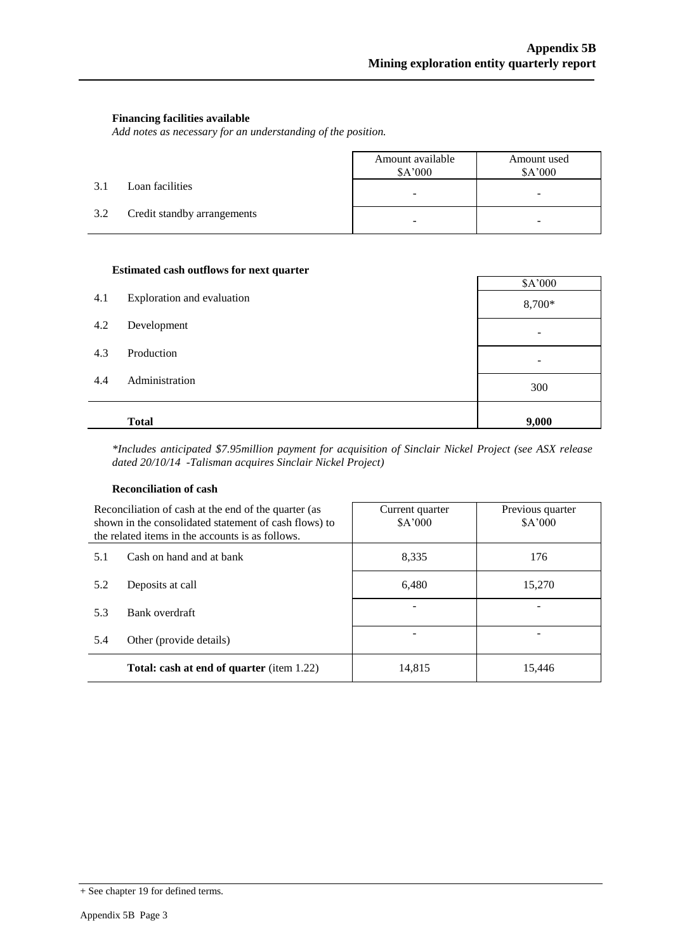#### **Financing facilities available**

*Add notes as necessary for an understanding of the position.*

|     |                             | Amount available<br>\$A'000 | Amount used<br>\$A'000   |
|-----|-----------------------------|-----------------------------|--------------------------|
| 3.1 | Loan facilities             | $\overline{\phantom{0}}$    | $\overline{\phantom{a}}$ |
| 3.2 | Credit standby arrangements | -                           | -                        |

#### **Estimated cash outflows for next quarter**

|     |                            | \$A'000                  |
|-----|----------------------------|--------------------------|
| 4.1 | Exploration and evaluation | 8,700*                   |
| 4.2 | Development                | -                        |
| 4.3 | Production                 | $\overline{\phantom{0}}$ |
| 4.4 | Administration             | 300                      |
|     | <b>Total</b>               | 9,000                    |

*\*Includes anticipated \$7.95million payment for acquisition of Sinclair Nickel Project (see ASX release dated 20/10/14 -Talisman acquires Sinclair Nickel Project)*

#### **Reconciliation of cash**

| Reconciliation of cash at the end of the quarter (as<br>shown in the consolidated statement of cash flows) to<br>the related items in the accounts is as follows. |                                                  | Current quarter<br>\$A'000 | Previous quarter<br>\$A'000 |  |
|-------------------------------------------------------------------------------------------------------------------------------------------------------------------|--------------------------------------------------|----------------------------|-----------------------------|--|
| 5.1                                                                                                                                                               | Cash on hand and at bank                         | 8.335                      | 176                         |  |
| 5.2                                                                                                                                                               | Deposits at call                                 | 6,480                      | 15,270                      |  |
| 5.3                                                                                                                                                               | Bank overdraft                                   |                            |                             |  |
| 5.4                                                                                                                                                               | Other (provide details)                          |                            |                             |  |
|                                                                                                                                                                   | <b>Total: cash at end of quarter</b> (item 1.22) | 14,815                     | 15.446                      |  |

<sup>+</sup> See chapter 19 for defined terms.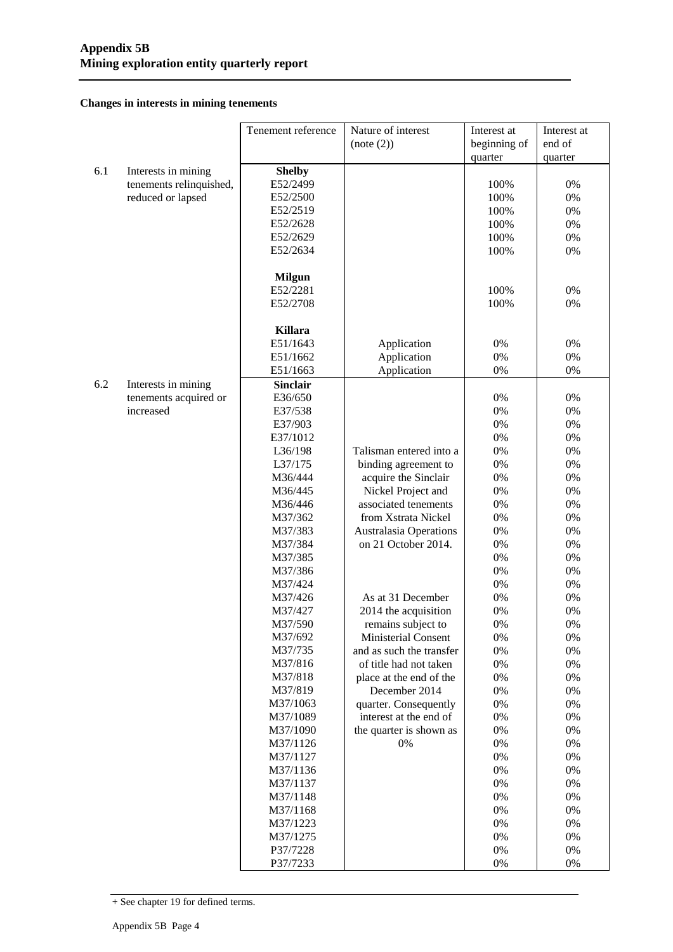**Changes in interests in mining tenements**

|     |                         | Tenement reference | Nature of interest            | Interest at  | Interest at |
|-----|-------------------------|--------------------|-------------------------------|--------------|-------------|
|     |                         |                    | (note (2))                    | beginning of | end of      |
|     |                         |                    |                               | quarter      | quarter     |
| 6.1 | Interests in mining     | <b>Shelby</b>      |                               |              |             |
|     | tenements relinquished, | E52/2499           |                               | 100%         | 0%          |
|     | reduced or lapsed       | E52/2500           |                               | 100%         | 0%          |
|     |                         | E52/2519           |                               | 100%         | 0%          |
|     |                         | E52/2628           |                               | 100%         | 0%          |
|     |                         | E52/2629           |                               | 100%         | 0%          |
|     |                         | E52/2634           |                               | 100%         | 0%          |
|     |                         |                    |                               |              |             |
|     |                         | <b>Milgun</b>      |                               |              |             |
|     |                         | E52/2281           |                               | 100%         | 0%          |
|     |                         | E52/2708           |                               | 100%         | 0%          |
|     |                         |                    |                               |              |             |
|     |                         | <b>Killara</b>     |                               |              |             |
|     |                         | E51/1643           | Application                   | $0\%$        | 0%          |
|     |                         | E51/1662           | Application                   | $0\%$        | 0%          |
|     |                         | E51/1663           | Application                   | $0\%$        | 0%          |
| 6.2 | Interests in mining     | <b>Sinclair</b>    |                               |              |             |
|     | tenements acquired or   | E36/650            |                               | $0\%$        | 0%          |
|     | increased               | E37/538            |                               | $0\%$        | 0%          |
|     |                         | E37/903            |                               | $0\%$        | 0%          |
|     |                         | E37/1012           |                               | $0\%$        | 0%          |
|     |                         | L36/198            | Talisman entered into a       | $0\%$        | 0%          |
|     |                         | L37/175            | binding agreement to          | $0\%$        | 0%          |
|     |                         | M36/444            | acquire the Sinclair          | $0\%$        | 0%          |
|     |                         | M36/445            | Nickel Project and            | $0\%$        | 0%          |
|     |                         | M36/446            | associated tenements          | $0\%$        | 0%          |
|     |                         | M37/362            | from Xstrata Nickel           | $0\%$        | 0%          |
|     |                         | M37/383            | <b>Australasia Operations</b> | $0\%$        | 0%          |
|     |                         | M37/384            | on 21 October 2014.           | $0\%$        | 0%          |
|     |                         | M37/385            |                               | $0\%$        | 0%          |
|     |                         | M37/386            |                               | 0%           | 0%          |
|     |                         | M37/424            |                               | 0%           | 0%          |
|     |                         | M37/426            | As at 31 December             | 0%           | 0%          |
|     |                         | M37/427            | 2014 the acquisition          | $0\%$        | 0%          |
|     |                         | M37/590            | remains subject to            | 0%           | 0%          |
|     |                         | M37/692            | <b>Ministerial Consent</b>    | $0\%$        | $0\%$       |
|     |                         | M37/735            | and as such the transfer      | $0\%$        | $0\%$       |
|     |                         | M37/816            | of title had not taken        | $0\%$        | $0\%$       |
|     |                         | M37/818            | place at the end of the       | $0\%$        | $0\%$       |
|     |                         | M37/819            | December 2014                 | $0\%$        | $0\%$       |
|     |                         | M37/1063           | quarter. Consequently         | $0\%$        | 0%          |
|     |                         | M37/1089           | interest at the end of        | $0\%$        | $0\%$       |
|     |                         | M37/1090           | the quarter is shown as       | $0\%$        | 0%          |
|     |                         | M37/1126           | $0\%$                         | 0%           | $0\%$       |
|     |                         | M37/1127           |                               | 0%           | 0%          |
|     |                         | M37/1136           |                               | $0\%$        | $0\%$       |
|     |                         | M37/1137           |                               | $0\%$        | 0%          |
|     |                         | M37/1148           |                               | 0%           | 0%          |
|     |                         | M37/1168           |                               | $0\%$        | 0%          |
|     |                         | M37/1223           |                               | 0%           | 0%          |
|     |                         | M37/1275           |                               | 0%           | 0%          |
|     |                         | P37/7228           |                               | 0%           | 0%          |
|     |                         | P37/7233           |                               | 0%           | 0%          |

<sup>+</sup> See chapter 19 for defined terms.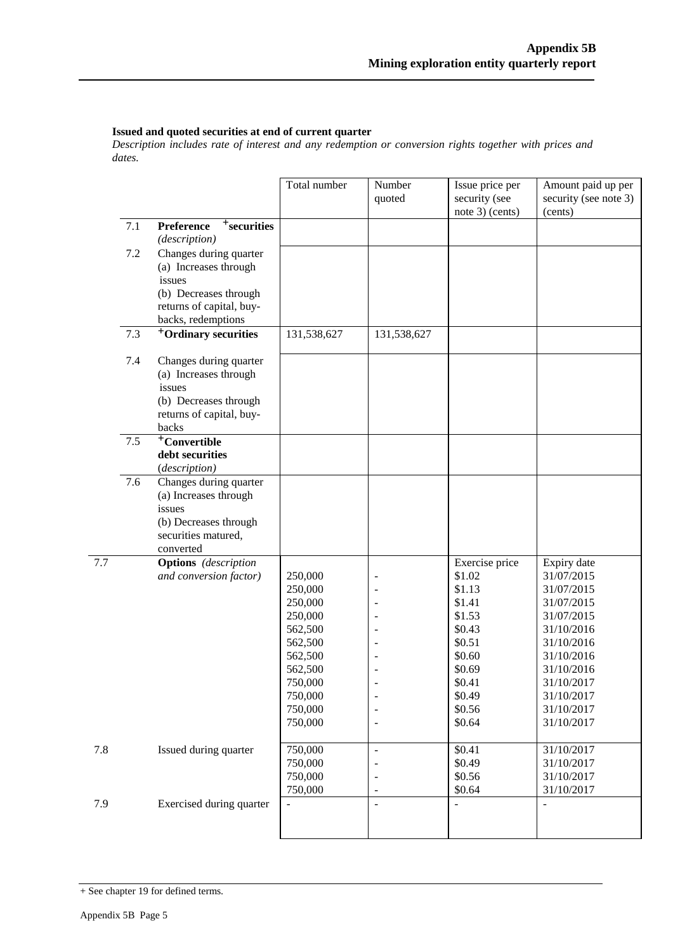#### **Issued and quoted securities at end of current quarter**

*Description includes rate of interest and any redemption or conversion rights together with prices and dates.*

|     |     |                                                                                                                                      | Total number                                                                                                                     | Number<br>quoted                                               | Issue price per<br>security (see<br>note 3) (cents)                                                                                    | Amount paid up per<br>security (see note 3)<br>(cents)                                                                                                                              |
|-----|-----|--------------------------------------------------------------------------------------------------------------------------------------|----------------------------------------------------------------------------------------------------------------------------------|----------------------------------------------------------------|----------------------------------------------------------------------------------------------------------------------------------------|-------------------------------------------------------------------------------------------------------------------------------------------------------------------------------------|
|     | 7.1 | <sup>+</sup> securities<br>Preference<br>(description)                                                                               |                                                                                                                                  |                                                                |                                                                                                                                        |                                                                                                                                                                                     |
|     | 7.2 | Changes during quarter<br>(a) Increases through<br>issues<br>(b) Decreases through<br>returns of capital, buy-<br>backs, redemptions |                                                                                                                                  |                                                                |                                                                                                                                        |                                                                                                                                                                                     |
|     | 7.3 | <sup>+</sup> Ordinary securities                                                                                                     | 131,538,627                                                                                                                      | 131,538,627                                                    |                                                                                                                                        |                                                                                                                                                                                     |
|     | 7.4 | Changes during quarter<br>(a) Increases through<br>issues<br>(b) Decreases through<br>returns of capital, buy-<br>backs              |                                                                                                                                  |                                                                |                                                                                                                                        |                                                                                                                                                                                     |
|     | 7.5 | <sup>+</sup> Convertible<br>debt securities<br>(description)                                                                         |                                                                                                                                  |                                                                |                                                                                                                                        |                                                                                                                                                                                     |
|     | 7.6 | Changes during quarter<br>(a) Increases through<br>issues<br>(b) Decreases through<br>securities matured,<br>converted               |                                                                                                                                  |                                                                |                                                                                                                                        |                                                                                                                                                                                     |
| 7.7 |     | <b>Options</b> (description<br>and conversion factor)                                                                                | 250,000<br>250,000<br>250,000<br>250,000<br>562,500<br>562,500<br>562,500<br>562,500<br>750,000<br>750,000<br>750,000<br>750,000 | $\overline{\phantom{a}}$                                       | Exercise price<br>\$1.02<br>\$1.13<br>\$1.41<br>\$1.53<br>\$0.43<br>\$0.51<br>\$0.60<br>\$0.69<br>\$0.41<br>\$0.49<br>\$0.56<br>\$0.64 | Expiry date<br>31/07/2015<br>31/07/2015<br>31/07/2015<br>31/07/2015<br>31/10/2016<br>31/10/2016<br>31/10/2016<br>31/10/2016<br>31/10/2017<br>31/10/2017<br>31/10/2017<br>31/10/2017 |
| 7.8 |     | Issued during quarter                                                                                                                | 750,000<br>750,000<br>750,000<br>750,000                                                                                         | $\Box$<br>$\overline{\phantom{a}}$<br>$\overline{\phantom{a}}$ | \$0.41<br>\$0.49<br>\$0.56<br>\$0.64                                                                                                   | 31/10/2017<br>31/10/2017<br>31/10/2017<br>31/10/2017                                                                                                                                |
| 7.9 |     | Exercised during quarter                                                                                                             |                                                                                                                                  | $\overline{\phantom{a}}$                                       |                                                                                                                                        |                                                                                                                                                                                     |

<sup>+</sup> See chapter 19 for defined terms.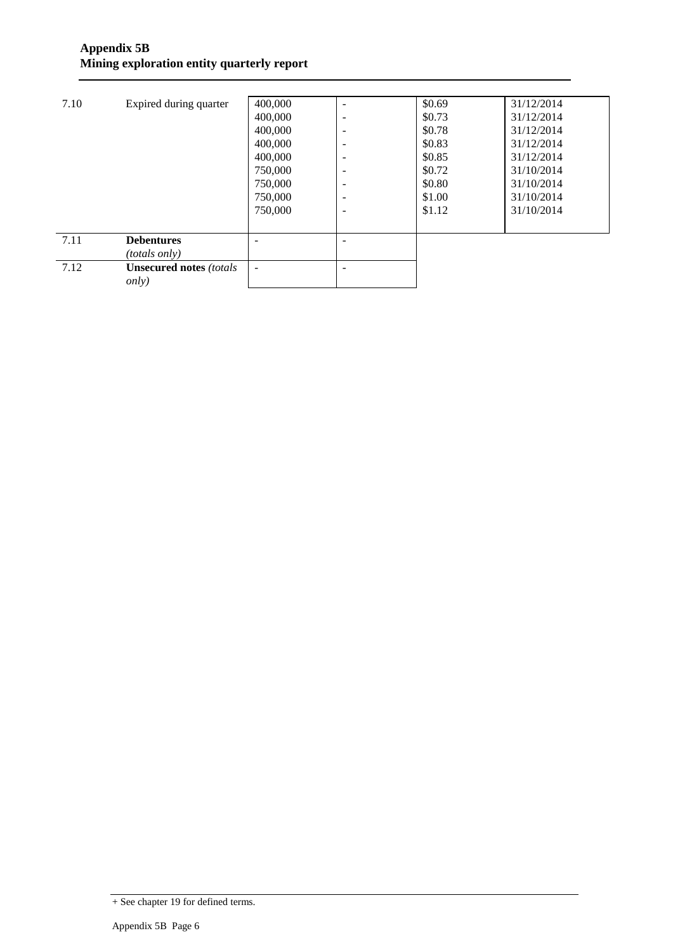| 7.10 | Expired during quarter          | 400,000 |                          | \$0.69 | 31/12/2014 |
|------|---------------------------------|---------|--------------------------|--------|------------|
|      |                                 | 400,000 | -                        | \$0.73 | 31/12/2014 |
|      |                                 | 400,000 | $\overline{\phantom{0}}$ | \$0.78 | 31/12/2014 |
|      |                                 | 400,000 | $\overline{\phantom{0}}$ | \$0.83 | 31/12/2014 |
|      |                                 | 400,000 | $\overline{\phantom{0}}$ | \$0.85 | 31/12/2014 |
|      |                                 | 750,000 | $\overline{\phantom{0}}$ | \$0.72 | 31/10/2014 |
|      |                                 | 750,000 | $\overline{\phantom{0}}$ | \$0.80 | 31/10/2014 |
|      |                                 | 750,000 | $\overline{\phantom{0}}$ | \$1.00 | 31/10/2014 |
|      |                                 | 750,000 | $\overline{\phantom{0}}$ | \$1.12 | 31/10/2014 |
|      |                                 |         |                          |        |            |
| 7.11 | <b>Debentures</b>               |         |                          |        |            |
|      | <i>(totals only)</i>            |         |                          |        |            |
| 7.12 | <b>Unsecured notes (totals)</b> | ۰       |                          |        |            |
|      | <i>only</i> )                   |         |                          |        |            |
|      |                                 |         |                          |        |            |

<sup>+</sup> See chapter 19 for defined terms.